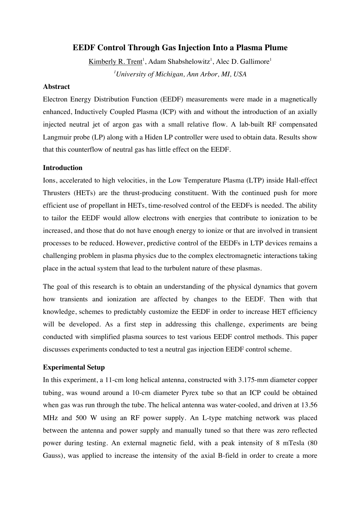# **EEDF Control Through Gas Injection Into a Plasma Plume**

Kimberly R. Trent<sup>1</sup>, Adam Shabshelowitz<sup>1</sup>, Alec D. Gallimore<sup>1</sup> *1 University of Michigan, Ann Arbor, MI, USA*

# **Abstract**

Electron Energy Distribution Function (EEDF) measurements were made in a magnetically enhanced, Inductively Coupled Plasma (ICP) with and without the introduction of an axially injected neutral jet of argon gas with a small relative flow. A lab-built RF compensated Langmuir probe (LP) along with a Hiden LP controller were used to obtain data. Results show that this counterflow of neutral gas has little effect on the EEDF.

## **Introduction**

Ions, accelerated to high velocities, in the Low Temperature Plasma (LTP) inside Hall-effect Thrusters (HETs) are the thrust-producing constituent. With the continued push for more efficient use of propellant in HETs, time-resolved control of the EEDFs is needed. The ability to tailor the EEDF would allow electrons with energies that contribute to ionization to be increased, and those that do not have enough energy to ionize or that are involved in transient processes to be reduced. However, predictive control of the EEDFs in LTP devices remains a challenging problem in plasma physics due to the complex electromagnetic interactions taking place in the actual system that lead to the turbulent nature of these plasmas.

The goal of this research is to obtain an understanding of the physical dynamics that govern how transients and ionization are affected by changes to the EEDF. Then with that knowledge, schemes to predictably customize the EEDF in order to increase HET efficiency will be developed. As a first step in addressing this challenge, experiments are being conducted with simplified plasma sources to test various EEDF control methods. This paper discusses experiments conducted to test a neutral gas injection EEDF control scheme.

### **Experimental Setup**

In this experiment, a 11-cm long helical antenna, constructed with 3.175-mm diameter copper tubing, was wound around a 10-cm diameter Pyrex tube so that an ICP could be obtained when gas was run through the tube. The helical antenna was water-cooled, and driven at 13.56 MHz and 500 W using an RF power supply. An L-type matching network was placed between the antenna and power supply and manually tuned so that there was zero reflected power during testing. An external magnetic field, with a peak intensity of 8 mTesla (80 Gauss), was applied to increase the intensity of the axial B-field in order to create a more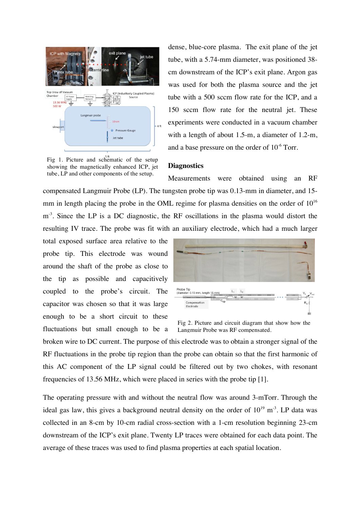

Fig 1. Picture and schematic of the setup showing the magnetically enhanced ICP, jet tube, LP and other components of the setup.

dense, blue-core plasma. The exit plane of the jet tube, with a 5.74-mm diameter, was positioned 38 cm downstream of the ICP's exit plane. Argon gas was used for both the plasma source and the jet tube with a 500 sccm flow rate for the ICP, and a 150 sccm flow rate for the neutral jet. These experiments were conducted in a vacuum chamber with a length of about 1.5-m, a diameter of 1.2-m, and a base pressure on the order of  $10^{-6}$  Torr.

#### **Diagnostics**

Measurements were obtained using an RF compensated Langmuir Probe (LP). The tungsten probe tip was 0.13-mm in diameter, and 15 mm in length placing the probe in the OML regime for plasma densities on the order of  $10^{16}$  $m<sup>3</sup>$ . Since the LP is a DC diagnostic, the RF oscillations in the plasma would distort the resulting IV trace. The probe was fit with an auxiliary electrode, which had a much larger

total exposed surface area relative to the probe tip. This electrode was wound around the shaft of the probe as close to the tip as possible and capacitively coupled to the probe's circuit. The capacitor was chosen so that it was large enough to be a short circuit to these fluctuations but small enough to be a



Fig 2. Picture and circuit diagram that show how the Langmuir Probe was RF compensated.

broken wire to DC current. The purpose of this electrode was to obtain a stronger signal of the RF fluctuations in the probe tip region than the probe can obtain so that the first harmonic of this AC component of the LP signal could be filtered out by two chokes, with resonant frequencies of 13.56 MHz, which were placed in series with the probe tip [1].

The operating pressure with and without the neutral flow was around 3-mTorr. Through the ideal gas law, this gives a background neutral density on the order of  $10^{19}$  m<sup>-3</sup>. LP data was collected in an 8-cm by 10-cm radial cross-section with a 1-cm resolution beginning 23-cm downstream of the ICP's exit plane. Twenty LP traces were obtained for each data point. The average of these traces was used to find plasma properties at each spatial location.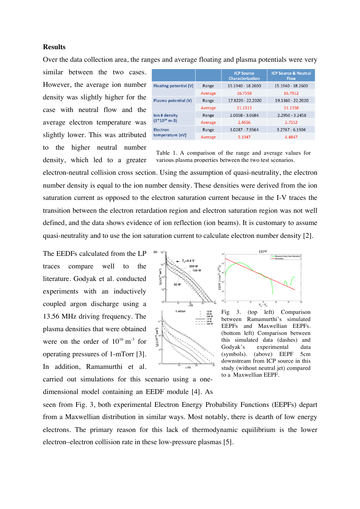### **Results**

Over the data collection area, the ranges and average floating and plasma potentials were very

similar between the two cases. However, the average ion number density was slightly higher for the case with neutral flow and the average electron temperature was slightly lower. This was attributed to the higher neutral number density, which led to a greater

|                                     |         | <b>ICP Source</b><br><b>Characterization</b> | <b>ICP Source &amp; Neutral</b><br><b>Flow</b> |
|-------------------------------------|---------|----------------------------------------------|------------------------------------------------|
| Floating potential (V)              | Range   | 15.1940 - 18.2600                            | 15.1940 - 18.2600                              |
|                                     | Average | 16.7558                                      | 16.7912                                        |
| Plasma potential (V)                | Range   | 17.8220 - 22.2020                            | 19.1360 - 22.2020                              |
|                                     | Average | 21.1313                                      | 21.1358                                        |
| lon # density<br>$(1*10^{16} m-3)$  | Range   | 2.0058 - 3.0684                              | $2.2950 - 3.2458$                              |
|                                     | Average | 2.4656                                       | 2.7552                                         |
| <b>Electron</b><br>temperature (eV) | Range   | 3.0287 - 7.9564                              | $3.2767 - 6.1904$                              |
|                                     | Average | 5.1047                                       | 4.4847                                         |

Table 1. A comparison of the range and average values for various plasma properties between the two test scenarios.

electron-neutral collision cross section. Using the assumption of quasi-neutrality, the electron number density is equal to the ion number density. These densities were derived from the ion saturation current as opposed to the electron saturation current because in the I-V traces the transition between the electron retardation region and electron saturation region was not well defined, and the data shows evidence of ion reflection (ion beams). It is customary to assume quasi-neutrality and to use the ion saturation current to calculate electron number density [2].

The EEDFs calculated from the LP traces compare well to the literature. Godyak et al. conducted experiments with an inductively coupled argon discharge using a 13.56 MHz driving frequency. The plasma densities that were obtained were on the order of  $10^{16}$  m<sup>-3</sup> for operating pressures of 1-mTorr [3]. In addition, Ramamurthi et al.





Fig 3. (top left) Comparison between Ramamurthi's simulated EEPFs and Maxwellian EEPFs. (bottom left) Comparison between this simulated data (dashes) and Godyak's experimental data (symbols). (above) EEPF 5cm downstream from ICP source in this study (without neutral jet) compared to a Maxwellian EEPF.

carried out simulations for this scenario using a onedimensional model containing an EEDF module [4]. As

seen from Fig. 3, both experimental Electron Energy Probability Functions (EEPFs) depart from a Maxwellian distribution in similar ways. Most notably, there is dearth of low energy electrons. The primary reason for this lack of thermodynamic equilibrium is the lower electron–electron collision rate in these low-pressure plasmas [5].